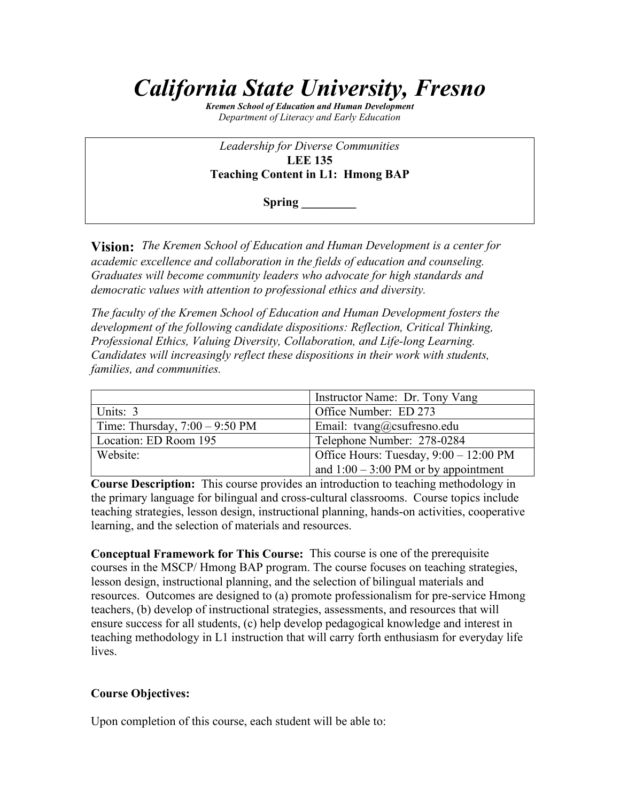# *California State University, Fresno*

*Kremen School of Education and Human Development Department of Literacy and Early Education*

*Leadership for Diverse Communities* **LEE 135 Teaching Content in L1: Hmong BAP**

**Spring \_\_\_\_\_\_\_\_\_**

**Vision:** *The Kremen School of Education and Human Development is a center for academic excellence and collaboration in the fields of education and counseling. Graduates will become community leaders who advocate for high standards and democratic values with attention to professional ethics and diversity.*

*The faculty of the Kremen School of Education and Human Development fosters the development of the following candidate dispositions: Reflection, Critical Thinking, Professional Ethics, Valuing Diversity, Collaboration, and Life-long Learning. Candidates will increasingly reflect these dispositions in their work with students, families, and communities.*

|                                          | Instructor Name: Dr. Tony Vang                 |
|------------------------------------------|------------------------------------------------|
| Units: 3                                 | Office Number: ED 273                          |
| Time: Thursday, $7:00 - 9:50 \text{ PM}$ | Email: tvang@csufresno.edu                     |
| Location: ED Room 195                    | Telephone Number: 278-0284                     |
| Website:                                 | Office Hours: Tuesday, 9:00 – 12:00 PM         |
|                                          | and $1:00 - 3:00 \text{ PM}$ or by appointment |

**Course Description:** This course provides an introduction to teaching methodology in the primary language for bilingual and cross-cultural classrooms. Course topics include teaching strategies, lesson design, instructional planning, hands-on activities, cooperative learning, and the selection of materials and resources.

**Conceptual Framework for This Course:** This course is one of the prerequisite courses in the MSCP/ Hmong BAP program. The course focuses on teaching strategies, lesson design, instructional planning, and the selection of bilingual materials and resources. Outcomes are designed to (a) promote professionalism for pre-service Hmong teachers, (b) develop of instructional strategies, assessments, and resources that will ensure success for all students, (c) help develop pedagogical knowledge and interest in teaching methodology in L1 instruction that will carry forth enthusiasm for everyday life lives.

#### **Course Objectives:**

Upon completion of this course, each student will be able to: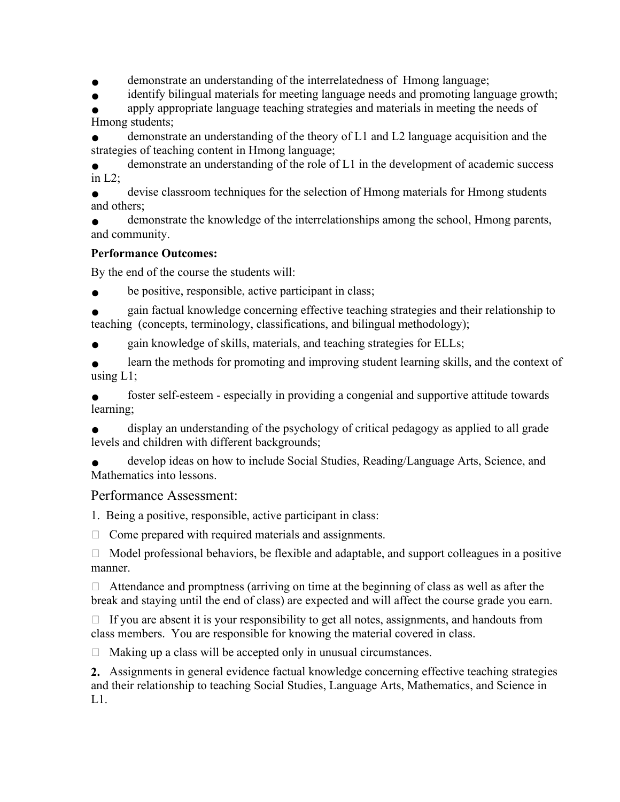demonstrate an understanding of the interrelatedness of Hmong language;

identify bilingual materials for meeting language needs and promoting language growth;

apply appropriate language teaching strategies and materials in meeting the needs of Hmong students;

demonstrate an understanding of the theory of  $L1$  and  $L2$  language acquisition and the strategies of teaching content in Hmong language;

demonstrate an understanding of the role of L1 in the development of academic success in  $L2$ ;

devise classroom techniques for the selection of Hmong materials for Hmong students and others;

demonstrate the knowledge of the interrelationships among the school, Hmong parents, and community.

# **Performance Outcomes:**

By the end of the course the students will:

be positive, responsible, active participant in class;

gain factual knowledge concerning effective teaching strategies and their relationship to teaching (concepts, terminology, classifications, and bilingual methodology);

gain knowledge of skills, materials, and teaching strategies for ELLs;

learn the methods for promoting and improving student learning skills, and the context of using L1;

foster self-esteem - especially in providing a congenial and supportive attitude towards learning;

display an understanding of the psychology of critical pedagogy as applied to all grade levels and children with different backgrounds;

develop ideas on how to include Social Studies, Reading/Language Arts, Science, and Mathematics into lessons.

# Performance Assessment:

1. Being a positive, responsible, active participant in class:

 $\Box$  Come prepared with required materials and assignments.

 $\Box$  Model professional behaviors, be flexible and adaptable, and support colleagues in a positive manner.

 $\Box$  Attendance and promptness (arriving on time at the beginning of class as well as after the break and staying until the end of class) are expected and will affect the course grade you earn.

 $\Box$  If you are absent it is your responsibility to get all notes, assignments, and handouts from class members. You are responsible for knowing the material covered in class.

 $\Box$  Making up a class will be accepted only in unusual circumstances.

**2.** Assignments in general evidence factual knowledge concerning effective teaching strategies and their relationship to teaching Social Studies, Language Arts, Mathematics, and Science in L1.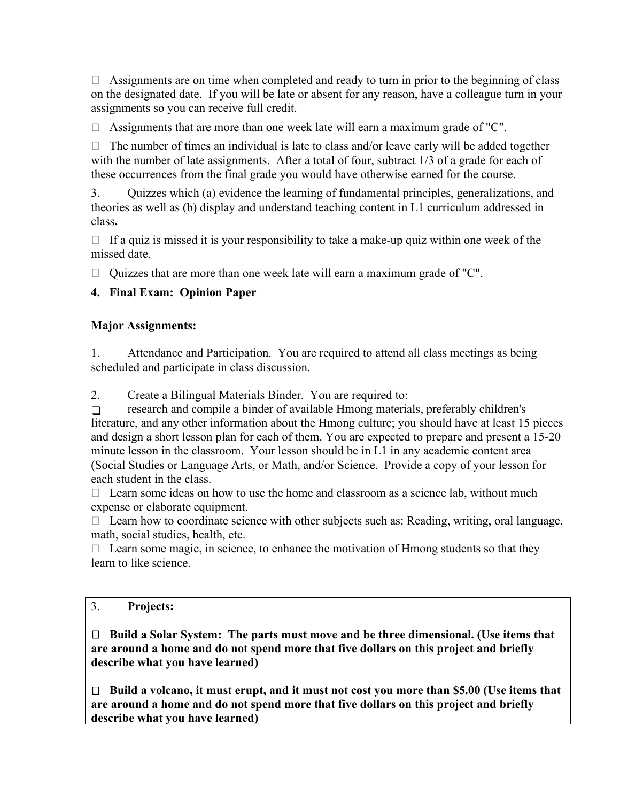$\Box$  Assignments are on time when completed and ready to turn in prior to the beginning of class on the designated date. If you will be late or absent for any reason, have a colleague turn in your assignments so you can receive full credit.

 $\Box$  Assignments that are more than one week late will earn a maximum grade of "C".

 $\Box$  The number of times an individual is late to class and/or leave early will be added together with the number of late assignments. After a total of four, subtract 1/3 of a grade for each of these occurrences from the final grade you would have otherwise earned for the course.

3. Quizzes which (a) evidence the learning of fundamental principles, generalizations, and theories as well as (b) display and understand teaching content in L1 curriculum addressed in class**.**

 $\Box$  If a quiz is missed it is your responsibility to take a make-up quiz within one week of the missed date.

 $\Box$  Quizzes that are more than one week late will earn a maximum grade of "C".

# **4. Final Exam: Opinion Paper**

#### **Major Assignments:**

1. Attendance and Participation. You are required to attend all class meetings as being scheduled and participate in class discussion.

2. Create a Bilingual Materials Binder. You are required to:

❑ research and compile a binder of available Hmong materials, preferably children's literature, and any other information about the Hmong culture; you should have at least 15 pieces and design a short lesson plan for each of them. You are expected to prepare and present a 15-20 minute lesson in the classroom. Your lesson should be in L1 in any academic content area (Social Studies or Language Arts, or Math, and/or Science. Provide a copy of your lesson for each student in the class.

 $\Box$  Learn some ideas on how to use the home and classroom as a science lab, without much expense or elaborate equipment.

 $\Box$  Learn how to coordinate science with other subjects such as: Reading, writing, oral language, math, social studies, health, etc.

 $\Box$  Learn some magic, in science, to enhance the motivation of Hmong students so that they learn to like science.

# 3. **Projects:**

 **Build a Solar System: The parts must move and be three dimensional. (Use items that are around a home and do not spend more that five dollars on this project and briefly describe what you have learned)** 

 **Build a volcano, it must erupt, and it must not cost you more than \$5.00 (Use items that are around a home and do not spend more that five dollars on this project and briefly describe what you have learned)**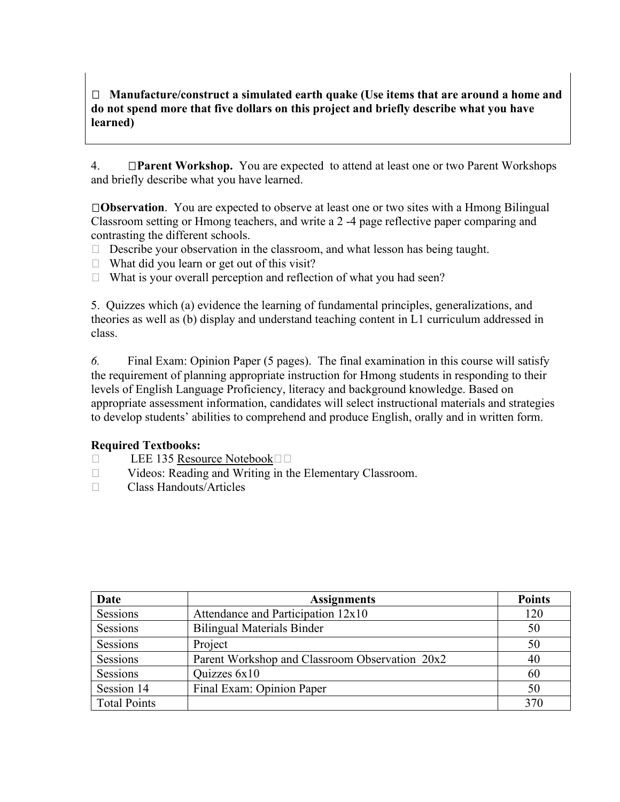**Manufacture/construct a simulated earth quake (Use items that are around a home and do not spend more that five dollars on this project and briefly describe what you have learned)**

4. **Parent Workshop.** You are expected to attend at least one or two Parent Workshops and briefly describe what you have learned.

**Observation**. You are expected to observe at least one or two sites with a Hmong Bilingual Classroom setting or Hmong teachers, and write a 2 -4 page reflective paper comparing and contrasting the different schools.

- $\Box$  Describe your observation in the classroom, and what lesson has being taught.
- $\Box$  What did you learn or get out of this visit?
- $\Box$  What is your overall perception and reflection of what you had seen?

5. Quizzes which (a) evidence the learning of fundamental principles, generalizations, and theories as well as (b) display and understand teaching content in L1 curriculum addressed in class.

*6.* Final Exam: Opinion Paper (5 pages). The final examination in this course will satisfy the requirement of planning appropriate instruction for Hmong students in responding to their levels of English Language Proficiency, literacy and background knowledge. Based on appropriate assessment information, candidates will select instructional materials and strategies to develop students' abilities to comprehend and produce English, orally and in written form.

#### **Required Textbooks:**

- $\Box$  LEE 135 Resource Notebook $\Box$
- □ Videos: Reading and Writing in the Elementary Classroom.
- Class Handouts/Articles

| Date                | <b>Assignments</b>                             | <b>Points</b> |
|---------------------|------------------------------------------------|---------------|
| Sessions            | Attendance and Participation 12x10             | 120           |
| Sessions            | <b>Bilingual Materials Binder</b>              | 50            |
| Sessions            | Project                                        | 50            |
| Sessions            | Parent Workshop and Classroom Observation 20x2 | 40            |
| Sessions            | Quizzes 6x10                                   | 60            |
| Session 14          | Final Exam: Opinion Paper                      | 50            |
| <b>Total Points</b> |                                                | 370           |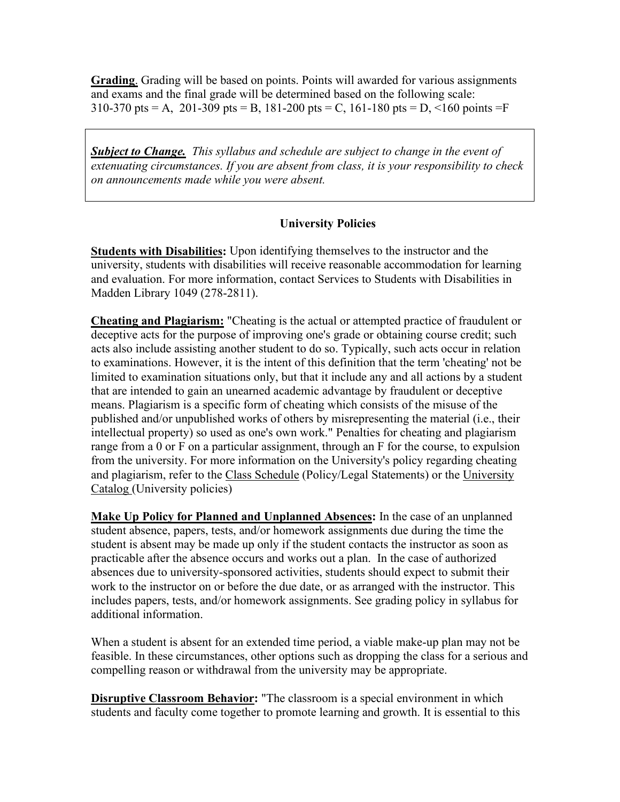**Grading**. Grading will be based on points. Points will awarded for various assignments and exams and the final grade will be determined based on the following scale: 310-370 pts = A, 201-309 pts = B, 181-200 pts = C, 161-180 pts = D, <160 points = F

*Subject to Change. This syllabus and schedule are subject to change in the event of extenuating circumstances. If you are absent from class, it is your responsibility to check on announcements made while you were absent.* 

#### **University Policies**

**Students with Disabilities:** Upon identifying themselves to the instructor and the university, students with disabilities will receive reasonable accommodation for learning and evaluation. For more information, contact Services to Students with Disabilities in Madden Library 1049 (278-2811).

**Cheating and Plagiarism:** "Cheating is the actual or attempted practice of fraudulent or deceptive acts for the purpose of improving one's grade or obtaining course credit; such acts also include assisting another student to do so. Typically, such acts occur in relation to examinations. However, it is the intent of this definition that the term 'cheating' not be limited to examination situations only, but that it include any and all actions by a student that are intended to gain an unearned academic advantage by fraudulent or deceptive means. Plagiarism is a specific form of cheating which consists of the misuse of the published and/or unpublished works of others by misrepresenting the material (i.e., their intellectual property) so used as one's own work." Penalties for cheating and plagiarism range from a 0 or F on a particular assignment, through an F for the course, to expulsion from the university. For more information on the University's policy regarding cheating and plagiarism, refer to the Class Schedule (Policy/Legal Statements) or the University Catalog (University policies)

**Make Up Policy for Planned and Unplanned Absences:** In the case of an unplanned student absence, papers, tests, and/or homework assignments due during the time the student is absent may be made up only if the student contacts the instructor as soon as practicable after the absence occurs and works out a plan. In the case of authorized absences due to university-sponsored activities, students should expect to submit their work to the instructor on or before the due date, or as arranged with the instructor. This includes papers, tests, and/or homework assignments. See grading policy in syllabus for additional information.

When a student is absent for an extended time period, a viable make-up plan may not be feasible. In these circumstances, other options such as dropping the class for a serious and compelling reason or withdrawal from the university may be appropriate.

**Disruptive Classroom Behavior:** "The classroom is a special environment in which students and faculty come together to promote learning and growth. It is essential to this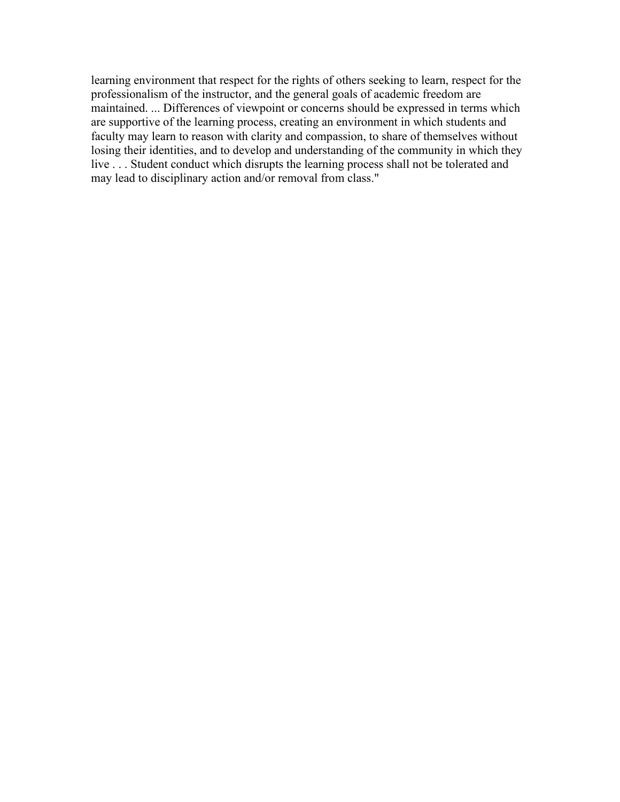learning environment that respect for the rights of others seeking to learn, respect for the professionalism of the instructor, and the general goals of academic freedom are maintained. ... Differences of viewpoint or concerns should be expressed in terms which are supportive of the learning process, creating an environment in which students and faculty may learn to reason with clarity and compassion, to share of themselves without losing their identities, and to develop and understanding of the community in which they live . . . Student conduct which disrupts the learning process shall not be tolerated and may lead to disciplinary action and/or removal from class."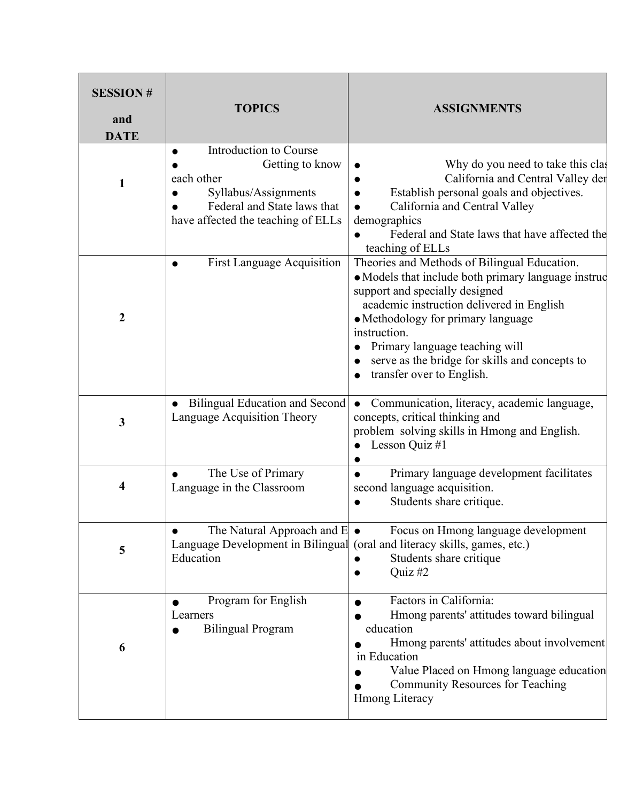| <b>SESSION#</b><br>and<br><b>DATE</b> | <b>TOPICS</b>                                                                                                                                                     | <b>ASSIGNMENTS</b>                                                                                                                                                                                                                                                                                                                                        |
|---------------------------------------|-------------------------------------------------------------------------------------------------------------------------------------------------------------------|-----------------------------------------------------------------------------------------------------------------------------------------------------------------------------------------------------------------------------------------------------------------------------------------------------------------------------------------------------------|
| 1                                     | Introduction to Course<br>$\bullet$<br>Getting to know<br>each other<br>Syllabus/Assignments<br>Federal and State laws that<br>have affected the teaching of ELLs | Why do you need to take this clas<br>California and Central Valley der<br>Establish personal goals and objectives.<br>California and Central Valley<br>demographics<br>Federal and State laws that have affected the<br>teaching of ELLs                                                                                                                  |
| 2                                     | <b>First Language Acquisition</b>                                                                                                                                 | Theories and Methods of Bilingual Education.<br>• Models that include both primary language instruc<br>support and specially designed<br>academic instruction delivered in English<br>• Methodology for primary language<br>instruction.<br>Primary language teaching will<br>serve as the bridge for skills and concepts to<br>transfer over to English. |
| 3                                     | <b>Bilingual Education and Second</b><br>Language Acquisition Theory                                                                                              | Communication, literacy, academic language,<br>concepts, critical thinking and<br>problem solving skills in Hmong and English.<br>Lesson Quiz #1                                                                                                                                                                                                          |
| 4                                     | The Use of Primary<br>Language in the Classroom                                                                                                                   | Primary language development facilitates<br>second language acquisition.<br>Students share critique.                                                                                                                                                                                                                                                      |
| 5                                     | The Natural Approach and $E \bullet$<br>Education                                                                                                                 | Focus on Hmong language development<br>Language Development in Bilingual (oral and literacy skills, games, etc.)<br>Students share critique<br>Quiz $#2$                                                                                                                                                                                                  |
| 6                                     | Program for English<br>Learners<br><b>Bilingual Program</b>                                                                                                       | Factors in California:<br>Hmong parents' attitudes toward bilingual<br>education<br>Hmong parents' attitudes about involvement<br>in Education<br>Value Placed on Hmong language education<br><b>Community Resources for Teaching</b><br><b>Hmong Literacy</b>                                                                                            |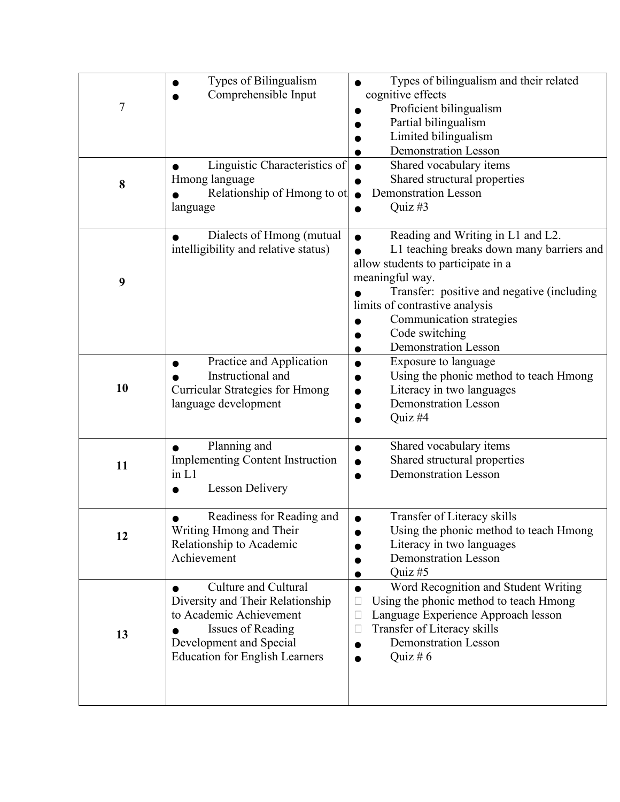| 7  | Types of Bilingualism<br>Comprehensible Input<br>Linguistic Characteristics of                                                                                                      | Types of bilingualism and their related<br>cognitive effects<br>Proficient bilingualism<br>Partial bilingualism<br>Limited bilingualism<br><b>Demonstration Lesson</b><br>Shared vocabulary items                                                                                                    |
|----|-------------------------------------------------------------------------------------------------------------------------------------------------------------------------------------|------------------------------------------------------------------------------------------------------------------------------------------------------------------------------------------------------------------------------------------------------------------------------------------------------|
| 8  | Hmong language<br>Relationship of Hmong to ot<br>language                                                                                                                           | Shared structural properties<br><b>Demonstration Lesson</b><br>Quiz#3                                                                                                                                                                                                                                |
| 9  | Dialects of Hmong (mutual<br>intelligibility and relative status)                                                                                                                   | Reading and Writing in L1 and L2.<br>L1 teaching breaks down many barriers and<br>allow students to participate in a<br>meaningful way.<br>Transfer: positive and negative (including<br>limits of contrastive analysis<br>Communication strategies<br>Code switching<br><b>Demonstration Lesson</b> |
| 10 | Practice and Application<br>Instructional and<br><b>Curricular Strategies for Hmong</b><br>language development                                                                     | Exposure to language<br>Using the phonic method to teach Hmong<br>Literacy in two languages<br><b>Demonstration Lesson</b><br>Quiz #4                                                                                                                                                                |
| 11 | Planning and<br><b>Implementing Content Instruction</b><br>in L1<br><b>Lesson Delivery</b>                                                                                          | Shared vocabulary items<br>O<br>Shared structural properties<br><b>Demonstration Lesson</b>                                                                                                                                                                                                          |
| 12 | Readiness for Reading and<br>Writing Hmong and Their<br>Relationship to Academic<br>Achievement                                                                                     | Transfer of Literacy skills<br>Using the phonic method to teach Hmong<br>Literacy in two languages<br><b>Demonstration Lesson</b><br>Quiz#5                                                                                                                                                          |
| 13 | Culture and Cultural<br>Diversity and Their Relationship<br>to Academic Achievement<br><b>Issues of Reading</b><br>Development and Special<br><b>Education for English Learners</b> | Word Recognition and Student Writing<br>Using the phonic method to teach Hmong<br>$\Box$<br>Language Experience Approach lesson<br>E<br>Transfer of Literacy skills<br>⊔<br><b>Demonstration Lesson</b><br>Quiz # $6$                                                                                |